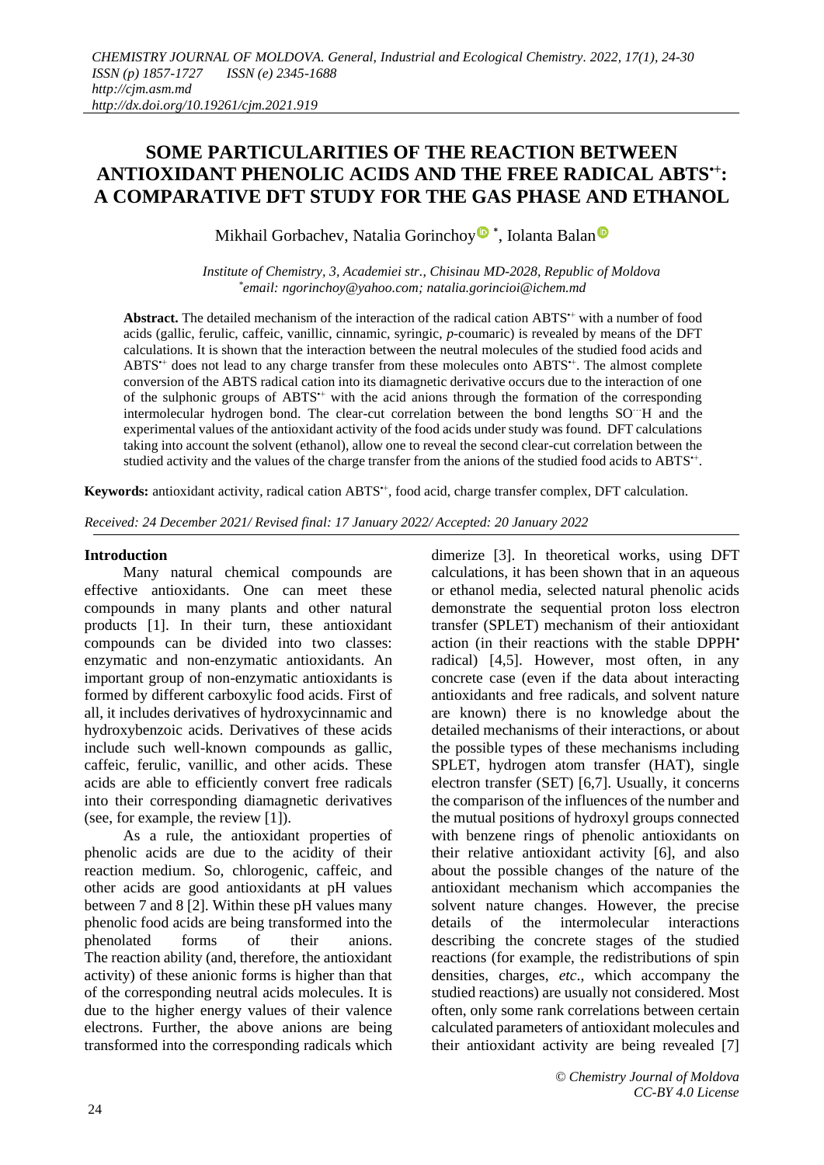# **SOME PARTICULARITIES OF THE REACTION BETWEEN ANTIOXIDANT PHENOLIC ACIDS AND THE FREE RADICAL ABTS•+: A COMPARATIVE DFT STUDY FOR THE GAS PHASE AND ETHANOL**

Mikhail Gorbachev, Natalia Gorinchoy<sup>®</sup>\*, Iolanta Balan

*Institute of Chemistry, 3, Academiei str., Chisinau MD-2028, Republic of Moldova \* email: [ngorinchoy@yahoo.com;](mailto:ngorinchoy@yahoo.com) natalia.gorincioi@ichem.md*

**Abstract.** The detailed mechanism of the interaction of the radical cation ABTS<sup>++</sup> with a number of food acids (gallic, ferulic, caffeic, vanillic, cinnamic, syringic, *p*-coumaric) is revealed by means of the DFT calculations. It is shown that the interaction between the neutral molecules of the studied food acids and ABTS<sup>\*+</sup> does not lead to any charge transfer from these molecules onto ABTS<sup>\*+</sup>. The almost complete conversion of the ABTS radical cation into its diamagnetic derivative occurs due to the interaction of one of the sulphonic groups of ABTS<sup>++</sup> with the acid anions through the formation of the corresponding intermolecular hydrogen bond. The clear-cut correlation between the bond lengths SO<sup>...</sup>H and the experimental values of the antioxidant activity of the food acids under study was found. DFT calculations taking into account the solvent (ethanol), allow one to reveal the second clear-cut correlation between the studied activity and the values of the charge transfer from the anions of the studied food acids to ABTS<sup>+</sup>.

**Keywords:** antioxidant activity, radical cation ABTS•+, food acid, charge transfer complex, DFT calculation.

*Received: 24 December 2021/ Revised final: 17 January 2022/ Accepted: 20 January 2022*

#### **Introduction**

Many natural chemical compounds are effective antioxidants. One can meet these compounds in many plants and other natural products [1]. In their turn, these antioxidant compounds can be divided into two classes: enzymatic and non-enzymatic antioxidants. An important group of non-enzymatic antioxidants is formed by different carboxylic food acids. First of all, it includes derivatives of hydroxycinnamic and hydroxybenzoic acids. Derivatives of these acids include such well-known compounds as gallic, caffeic, ferulic, vanillic, and other acids. These acids are able to efficiently convert free radicals into their corresponding diamagnetic derivatives (see, for example, the review [1]).

As a rule, the antioxidant properties of phenolic acids are due to the acidity of their reaction medium. So, chlorogenic, caffeic, and other acids are good antioxidants at pH values between 7 and 8 [2]. Within these pH values many phenolic food acids are being transformed into the phenolated forms of their anions. The reaction ability (and, therefore, the antioxidant activity) of these anionic forms is higher than that of the corresponding neutral acids molecules. It is due to the higher energy values of their valence electrons. Further, the above anions are being transformed into the corresponding radicals which dimerize [3]. In theoretical works, using DFT calculations, it has been shown that in an aqueous or ethanol media, selected natural phenolic acids demonstrate the sequential proton loss electron transfer (SPLET) mechanism of their antioxidant action (in their reactions with the stable DPPH**•** radical) [4,5]. However, most often, in any concrete case (even if the data about interacting antioxidants and free radicals, and solvent nature are known) there is no knowledge about the detailed mechanisms of their interactions, or about the possible types of these mechanisms including SPLET, hydrogen atom transfer (HAT), single electron transfer (SET) [6,7]. Usually, it concerns the comparison of the influences of the number and the mutual positions of hydroxyl groups connected with benzene rings of phenolic antioxidants on their relative antioxidant activity [6], and also about the possible changes of the nature of the antioxidant mechanism which accompanies the solvent nature changes. However, the precise details of the intermolecular interactions describing the concrete stages of the studied reactions (for example, the redistributions of spin densities, charges, *etc*., which accompany the studied reactions) are usually not considered. Most often, only some rank correlations between certain calculated parameters of antioxidant molecules and their antioxidant activity are being revealed [7]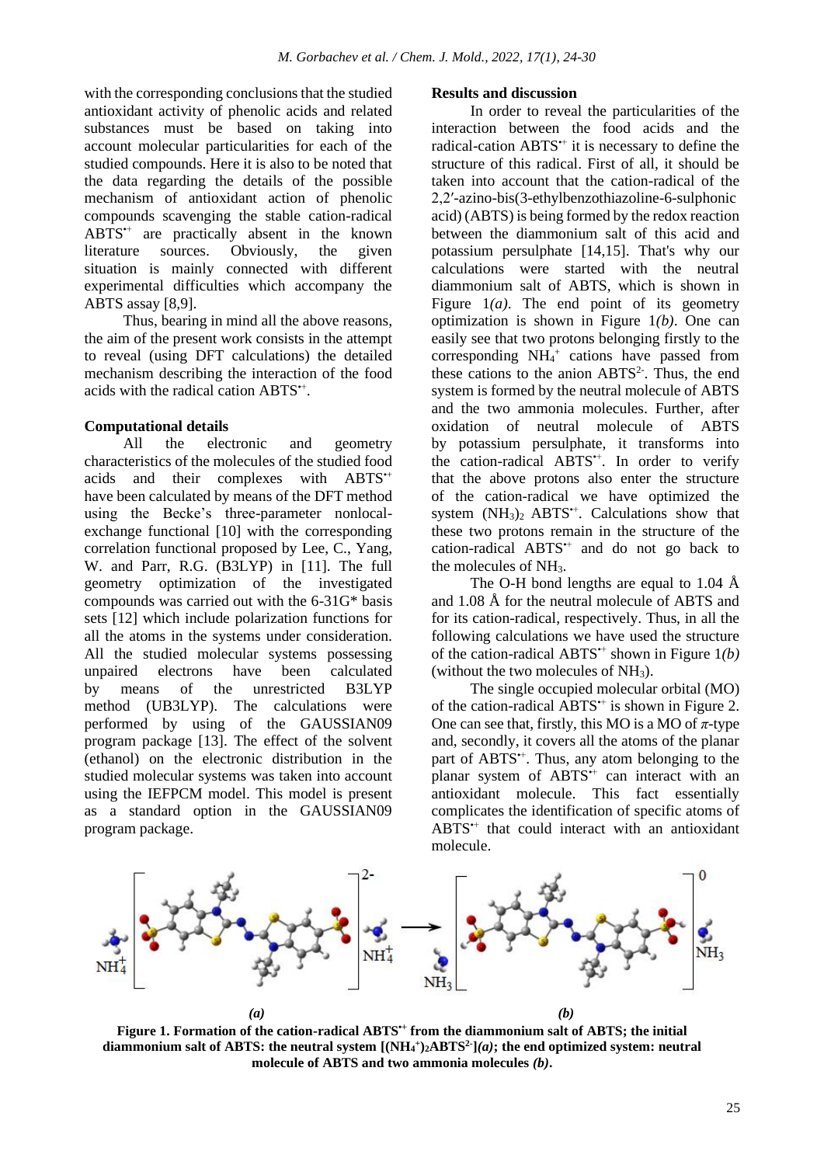with the corresponding conclusions that the studied antioxidant activity of phenolic acids and related substances must be based on taking into account molecular particularities for each of the studied compounds. Here it is also to be noted that the data regarding the details of the possible mechanism of antioxidant action of phenolic compounds scavenging the stable cation-radical ABTS•+ are practically absent in the known literature sources. Obviously, the given situation is mainly connected with different experimental difficulties which accompany the ABTS assay [8,9].

Thus, bearing in mind all the above reasons, the aim of the present work consists in the attempt to reveal (using DFT calculations) the detailed mechanism describing the interaction of the food acids with the radical cation ABTS<sup>\*\*</sup>.

### **Computational details**

All the electronic and geometry characteristics of the molecules of the studied food acids and their complexes with ABTS•+ have been calculated by means of the DFT method using the Becke's three-parameter nonlocalexchange functional [10] with the corresponding correlation functional proposed by Lee, C., Yang, W. and Parr, R.G. (B3LYP) in [11]. The full geometry optimization of the investigated compounds was carried out with the 6-31G\* basis sets [12] which include polarization functions for all the atoms in the systems under consideration. All the studied molecular systems possessing unpaired electrons have been calculated by means of the unrestricted B3LYP method (UB3LYP). The calculations were performed by using of the GAUSSIAN09 program package [13]. The effect of the solvent (ethanol) on the electronic distribution in the studied molecular systems was taken into account using the IEFPCM model. This model is present as a standard option in the GAUSSIAN09 program package.

### **Results and discussion**

In order to reveal the particularities of the interaction between the food acids and the radical-cation ABTS<sup>\*+</sup> it is necessary to define the structure of this radical. First of all, it should be taken into account that the cation-radical of the 2,2ʹ-azino-bis(3-ethylbenzothiazoline-6-sulphonic acid) (ABTS) is being formed by the redox reaction between the diammonium salt of this acid and potassium persulphate [14,15]. That's why our calculations were started with the neutral diammonium salt of ABTS, which is shown in Figure  $1(a)$ . The end point of its geometry optimization is shown in Figure 1*(b)*. One can easily see that two protons belonging firstly to the corresponding NH<sub>4</sub><sup>+</sup> cations have passed from these cations to the anion  $ABTS<sup>2</sup>$ . Thus, the end system is formed by the neutral molecule of ABTS and the two ammonia molecules. Further, after oxidation of neutral molecule of ABTS by potassium persulphate, it transforms into the cation-radical ABTS<sup>+</sup>. In order to verify that the above protons also enter the structure of the cation-radical we have optimized the system  $(NH_3)_2$  ABTS<sup> $+$ </sup>. Calculations show that these two protons remain in the structure of the cation-radical ABTS•+ and do not go back to the molecules of NH3.

The O-H bond lengths are equal to 1.04  $\AA$ and 1.08 Å for the neutral molecule of ABTS and for its cation-radical, respectively. Thus, in all the following calculations we have used the structure of the cation-radical ABTS•+ shown in Figure 1*(b)* (without the two molecules of  $NH<sub>3</sub>$ ).

The single occupied molecular orbital (MO) of the cation-radical ABTS<sup>++</sup> is shown in Figure 2. One can see that, firstly, this MO is a MO of  $\pi$ -type and, secondly, it covers all the atoms of the planar part of ABTS<sup>+</sup>. Thus, any atom belonging to the planar system of ABTS<sup>++</sup> can interact with an antioxidant molecule. This fact essentially complicates the identification of specific atoms of ABTS<sup>++</sup> that could interact with an antioxidant molecule.



**Figure 1. Formation of the cation-radical ABTS•+ from the diammonium salt of ABTS; the initial diammonium salt of ABTS: the neutral system**  $[(NH_4^+)_{2}ABTS^2](a)$ **; the end optimized system: neutral molecule of ABTS and two ammonia molecules** *(b)***.**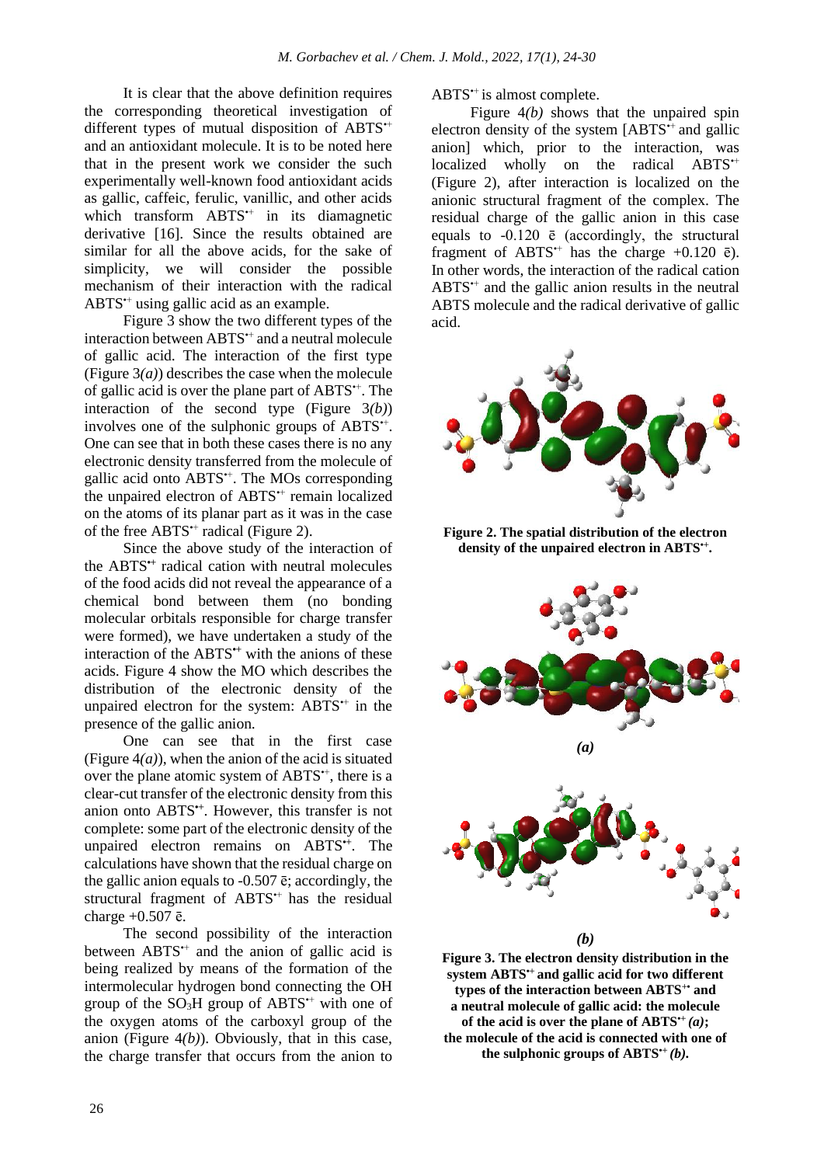It is clear that the above definition requires the corresponding theoretical investigation of different types of mutual disposition of ABTS<sup>++</sup> and an antioxidant molecule. It is to be noted here that in the present work we consider the such experimentally well-known food antioxidant acids as gallic, caffeic, ferulic, vanillic, and other acids which transform ABTS<sup>++</sup> in its diamagnetic derivative [16]. Since the results obtained are similar for all the above acids, for the sake of simplicity, we will consider the possible mechanism of their interaction with the radical ABTS•+ using gallic acid as an example.

Figure 3 show the two different types of the interaction between ABTS<sup>++</sup> and a neutral molecule of gallic acid. The interaction of the first type (Figure 3*(a)*) describes the case when the molecule of gallic acid is over the plane part of ABTS<sup> $\dagger$ </sup>. The interaction of the second type (Figure 3*(b)*) involves one of the sulphonic groups of ABTS<sup>\*+</sup>. One can see that in both these cases there is no any electronic density transferred from the molecule of gallic acid onto ABTS•+. The MOs corresponding the unpaired electron of ABTS<sup>++</sup> remain localized on the atoms of its planar part as it was in the case of the free ABTS<sup>++</sup> radical (Figure 2).

Since the above study of the interaction of the ABTS**•+** radical cation with neutral molecules of the food acids did not reveal the appearance of a chemical bond between them (no bonding molecular orbitals responsible for charge transfer were formed), we have undertaken a study of the interaction of the ABTS**•+** with the anions of these acids. Figure 4 show the MO which describes the distribution of the electronic density of the unpaired electron for the system:  $ABTS^+$  in the presence of the gallic anion.

One can see that in the first case (Figure  $4(a)$ ), when the anion of the acid is situated over the plane atomic system of ABTS<sup>++</sup>, there is a clear-cut transfer of the electronic density from this anion onto ABTS**•+**. However, this transfer is not complete: some part of the electronic density of the unpaired electron remains on ABTS**•+**. The calculations have shown that the residual charge on the gallic anion equals to -0.507 ē; accordingly, the structural fragment of ABTS<sup>++</sup> has the residual charge  $+0.507$   $\bar{e}$ .

The second possibility of the interaction between  $ABTS^+$  and the anion of gallic acid is being realized by means of the formation of the intermolecular hydrogen bond connecting the OH group of the  $SO<sub>3</sub>H$  group of  $ABTS^+$  with one of the oxygen atoms of the carboxyl group of the anion (Figure 4*(b)*). Obviously, that in this case, the charge transfer that occurs from the anion to ABTS<sup>++</sup> is almost complete.

Figure  $4(b)$  shows that the unpaired spin electron density of the system  $[ABTS^+$  and gallic anion] which, prior to the interaction, was localized wholly on the radical ABTS<sup>++</sup> (Figure 2), after interaction is localized on the anionic structural fragment of the complex. The residual charge of the gallic anion in this case equals to -0.120 ē (accordingly, the structural fragment of ABTS<sup> $+$ </sup> has the charge  $+0.120$   $\bar{e}$ ). In other words, the interaction of the radical cation  $ABTS^{+}$  and the gallic anion results in the neutral ABTS molecule and the radical derivative of gallic acid.



**Figure 2. The spatial distribution of the electron density of the unpaired electron in ABTS•+ .**



*(b)*

**Figure 3. The electron density distribution in the system ABTS•+ and gallic acid for two different types of the interaction between ABTS+• and a neutral molecule of gallic acid: the molecule**  of the acid is over the plane of  $ABTS^+(a)$ ; **the molecule of the acid is connected with one of the sulphonic groups of ABTS•+** *(b).*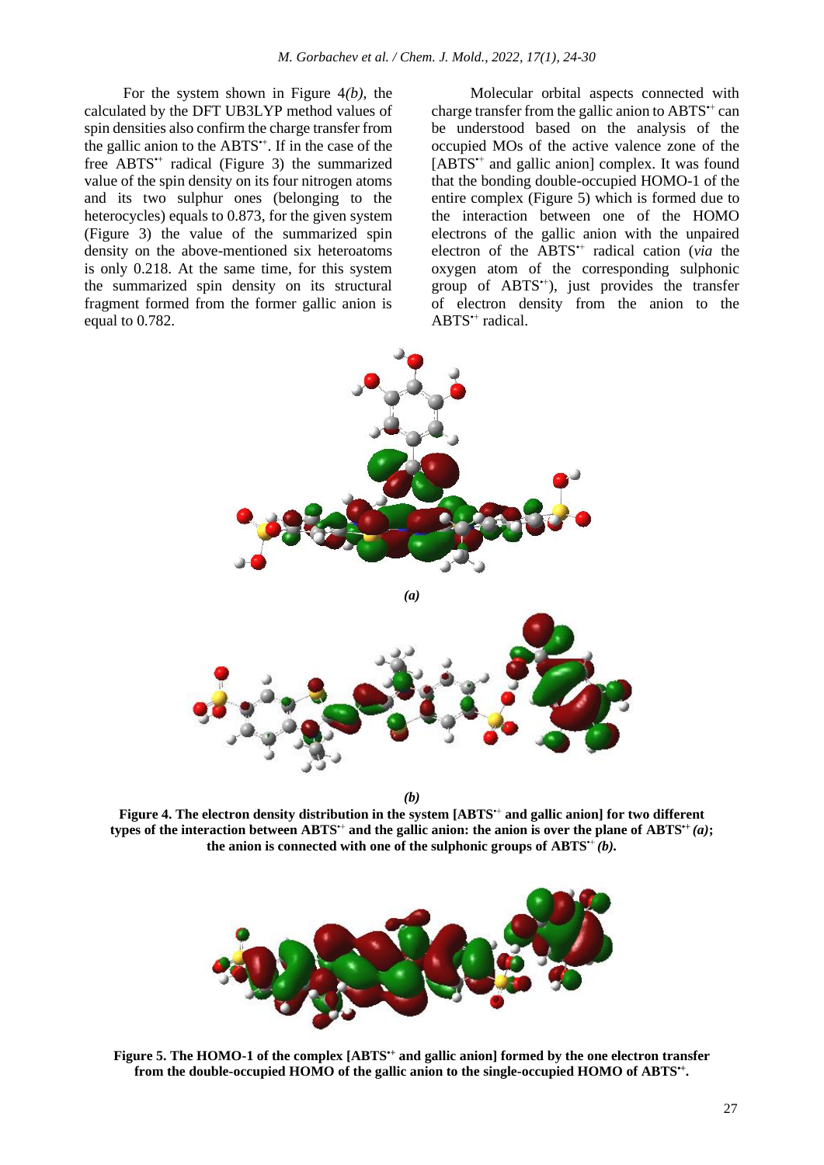For the system shown in Figure 4*(b)*, the calculated by the DFT UB3LYP method values of spin densities also confirm the charge transfer from the gallic anion to the ABTS<sup>\*+</sup>. If in the case of the free ABTS<sup>\*+</sup> radical (Figure 3) the summarized value of the spin density on its four nitrogen atoms and its two sulphur ones (belonging to the heterocycles) equals to 0.873, for the given system (Figure 3) the value of the summarized spin density on the above-mentioned six heteroatoms is only 0.218. At the same time, for this system the summarized spin density on its structural fragment formed from the former gallic anion is equal to 0.782.

Molecular orbital aspects connected with charge transfer from the gallic anion to ABTS<sup>++</sup> can be understood based on the analysis of the occupied MOs of the active valence zone of the [ABTS<sup>++</sup> and gallic anion] complex. It was found that the bonding double-occupied HOMO-1 of the entire complex (Figure 5) which is formed due to the interaction between one of the HOMO electrons of the gallic anion with the unpaired electron of the ABTS<sup>++</sup> radical cation (*via* the oxygen atom of the corresponding sulphonic group of  $ABTS^+$ ), just provides the transfer of electron density from the anion to the ABTS<sup>++</sup> radical.



*(b)*

**Figure 4. The electron density distribution in the system [ABTS<sup>++</sup> and gallic anion] for two different types of the interaction between ABTS<sup>** $++$ **</sup> and the gallic anion: the anion is over the plane of ABTS** $^{\text{++}}(a)$ **;** the anion is connected with one of the sulphonic groups of  $ABTS^+(b)$ .



**Figure 5. The HOMO-1 of the complex [ABTS•+ and gallic anion] formed by the one electron transfer from the double-occupied HOMO of the gallic anion to the single-occupied HOMO of ABTS•+ .**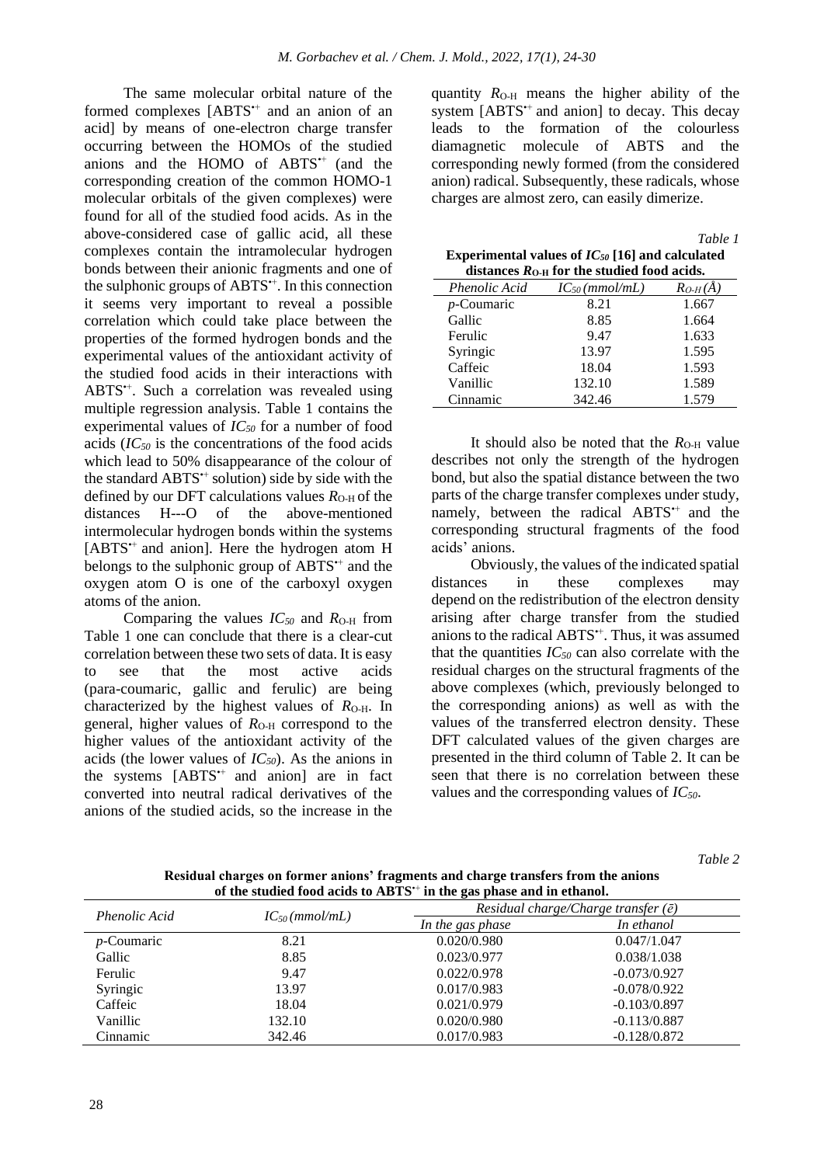The same molecular orbital nature of the formed complexes [ABTS<sup>++</sup> and an anion of an acid] by means of one-electron charge transfer occurring between the HOMOs of the studied anions and the HOMO of ABTS<sup>++</sup> (and the corresponding creation of the common HOMO-1 molecular orbitals of the given complexes) were found for all of the studied food acids. As in the above-considered case of gallic acid, all these complexes contain the intramolecular hydrogen bonds between their anionic fragments and one of the sulphonic groups of ABTS<sup>\*\*</sup>. In this connection it seems very important to reveal a possible correlation which could take place between the properties of the formed hydrogen bonds and the experimental values of the antioxidant activity of the studied food acids in their interactions with ABTS<sup>++</sup>. Such a correlation was revealed using multiple regression analysis. Table 1 contains the experimental values of *IC<sup>50</sup>* for a number of food acids (*IC<sup>50</sup>* is the concentrations of the food acids which lead to 50% disappearance of the colour of the standard ABTS<sup>\*+</sup> solution) side by side with the defined by our DFT calculations values  $R_{O<sub>H</sub>}$  of the distances H---O of the above-mentioned intermolecular hydrogen bonds within the systems [ABTS•+ and anion]. Here the hydrogen atom H belongs to the sulphonic group of ABTS<sup>++</sup> and the oxygen atom O is one of the carboxyl oxygen atoms of the anion.

Comparing the values  $IC_{50}$  and  $R_{O-H}$  from Table 1 one can conclude that there is a clear-cut correlation between these two sets of data. It is easy to see that the most active acids (para-coumaric, gallic and ferulic) are being characterized by the highest values of  $R<sub>O-H</sub>$ . In general, higher values of  $R<sub>O-H</sub>$  correspond to the higher values of the antioxidant activity of the acids (the lower values of *IC50*). As the anions in the systems [ABTS<sup>++</sup> and anion] are in fact converted into neutral radical derivatives of the anions of the studied acids, so the increase in the

quantity  $R<sub>O-H</sub>$  means the higher ability of the system [ABTS<sup>++</sup> and anion] to decay. This decay leads to the formation of the colourless diamagnetic molecule of ABTS and the corresponding newly formed (from the considered anion) radical. Subsequently, these radicals, whose charges are almost zero, can easily dimerize.

|                                                       | Table 1 |
|-------------------------------------------------------|---------|
| Experimental values of $IC_{50}$ [16] and calculated  |         |
| distances $RO$ $_{\rm H}$ for the studied food acids. |         |

| ulstances AO h Tol The studied Tood acids. |                    |             |  |  |
|--------------------------------------------|--------------------|-------------|--|--|
| <b>Phenolic Acid</b>                       | $IC_{50}(mmol/mL)$ | $R_{O-H}(A$ |  |  |
| $p$ -Coumaric                              | 8.21               | 1.667       |  |  |
| Gallic                                     | 8.85               | 1.664       |  |  |
| Ferulic                                    | 9.47               | 1.633       |  |  |
| Syringic                                   | 13.97              | 1.595       |  |  |
| Caffeic                                    | 18.04              | 1.593       |  |  |
| Vanillic                                   | 132.10             | 1.589       |  |  |
| Cinnamic                                   | 342.46             | 1.579       |  |  |

It should also be noted that the  $R<sub>O-H</sub>$  value describes not only the strength of the hydrogen bond, but also the spatial distance between the two parts of the charge transfer complexes under study, namely, between the radical ABTS<sup>++</sup> and the corresponding structural fragments of the food acids' anions.

Obviously, the values of the indicated spatial distances in these complexes may depend on the redistribution of the electron density arising after charge transfer from the studied anions to the radical ABTS•+. Thus, it was assumed that the quantities *IC<sup>50</sup>* can also correlate with the residual charges on the structural fragments of the above complexes (which, previously belonged to the corresponding anions) as well as with the values of the transferred electron density. These DFT calculated values of the given charges are presented in the third column of Table 2. It can be seen that there is no correlation between these values and the corresponding values of *IC50*.

*Table 2*

**Residual charges on former anions' fragments and charge transfers from the anions of the studied food acids to ABTS**•+ **in the gas phase and in ethanol.**

| of the studied food acros to trib FS - in the gas phase and in cenanon |                    |                                             |                |
|------------------------------------------------------------------------|--------------------|---------------------------------------------|----------------|
| <i>Phenolic Acid</i>                                                   | $IC_{50}(mmol/mL)$ | Residual charge/Charge transfer $(\bar{e})$ |                |
|                                                                        |                    | In the gas phase                            | In ethanol     |
| $p$ -Coumaric                                                          | 8.21               | 0.020/0.980                                 | 0.047/1.047    |
| Gallic                                                                 | 8.85               | 0.023/0.977                                 | 0.038/1.038    |
| Ferulic                                                                | 9.47               | 0.022/0.978                                 | $-0.073/0.927$ |
| Syringic                                                               | 13.97              | 0.017/0.983                                 | $-0.078/0.922$ |
| Caffeic                                                                | 18.04              | 0.021/0.979                                 | $-0.103/0.897$ |
| Vanillic                                                               | 132.10             | 0.020/0.980                                 | $-0.113/0.887$ |
| Cinnamic                                                               | 342.46             | 0.017/0.983                                 | $-0.128/0.872$ |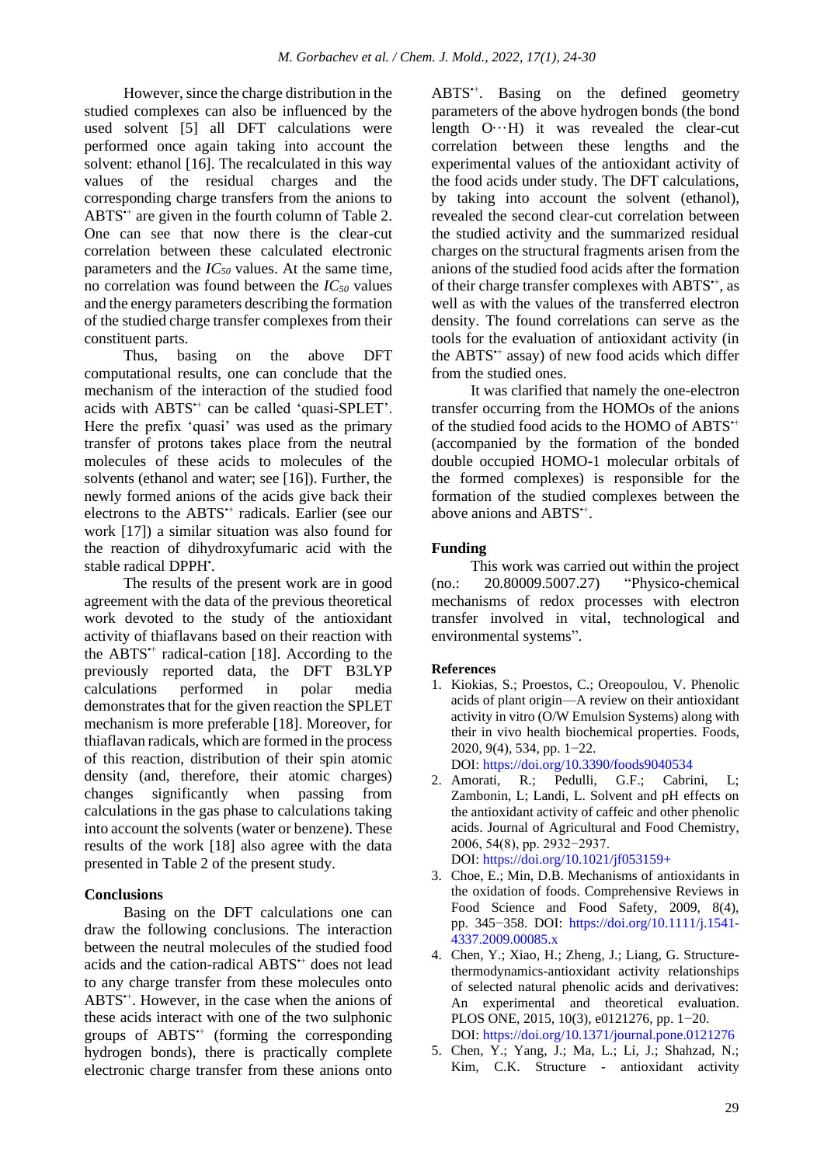However, since the charge distribution in the studied complexes can also be influenced by the used solvent [5] all DFT calculations were performed once again taking into account the solvent: ethanol [16]. The recalculated in this way values of the residual charges and the corresponding charge transfers from the anions to ABTS<sup>++</sup> are given in the fourth column of Table 2. One can see that now there is the clear-cut correlation between these calculated electronic parameters and the *IC<sup>50</sup>* values. At the same time, no correlation was found between the *IC<sup>50</sup>* values and the energy parameters describing the formation of the studied charge transfer complexes from their constituent parts.

Thus, basing on the above DFT computational results, one can conclude that the mechanism of the interaction of the studied food acids with ABTS<sup>++</sup> can be called 'quasi-SPLET'. Here the prefix 'quasi' was used as the primary transfer of protons takes place from the neutral molecules of these acids to molecules of the solvents (ethanol and water; see [16]). Further, the newly formed anions of the acids give back their electrons to the ABTS<sup>++</sup> radicals. Earlier (see our work [17]) a similar situation was also found for the reaction of dihydroxyfumaric acid with the stable radical DPPH'.

The results of the present work are in good agreement with the data of the previous theoretical work devoted to the study of the antioxidant activity of thiaflavans based on their reaction with the  $ABTS^+$  radical-cation [18]. According to the previously reported data, the DFT B3LYP calculations performed in polar media demonstrates that for the given reaction the SPLET mechanism is more preferable [18]. Moreover, for thiaflavan radicals, which are formed in the process of this reaction, distribution of their spin atomic density (and, therefore, their atomic charges) changes significantly when passing from calculations in the gas phase to calculations taking into account the solvents (water or benzene). These results of the work [18] also agree with the data presented in Table 2 of the present study.

### **Conclusions**

Basing on the DFT calculations one can draw the following conclusions. The interaction between the neutral molecules of the studied food acids and the cation-radical ABTS•+ does not lead to any charge transfer from these molecules onto ABTS<sup>\*+</sup>. However, in the case when the anions of these acids interact with one of the two sulphonic groups of  $ABTS^+$  (forming the corresponding hydrogen bonds), there is practically complete electronic charge transfer from these anions onto ABTS<sup>+</sup>. Basing on the defined geometry parameters of the above hydrogen bonds (the bond length O···H) it was revealed the clear-cut correlation between these lengths and the experimental values of the antioxidant activity of the food acids under study. The DFT calculations, by taking into account the solvent (ethanol), revealed the second clear-cut correlation between the studied activity and the summarized residual charges on the structural fragments arisen from the anions of the studied food acids after the formation of their charge transfer complexes with ABTS<sup>+</sup>, as well as with the values of the transferred electron density. The found correlations can serve as the tools for the evaluation of antioxidant activity (in the  $ABTS^+$  assay) of new food acids which differ from the studied ones.

It was clarified that namely the one-electron transfer occurring from the HOMOs of the anions of the studied food acids to the HOMO of ABTS<sup>++</sup> (accompanied by the formation of the bonded double occupied HOMO-1 molecular orbitals of the formed complexes) is responsible for the formation of the studied complexes between the above anions and ABTS\*<sup>+</sup>.

## **Funding**

This work was carried out within the project (no.: 20.80009.5007.27) "Physico-chemical mechanisms of redox processes with electron transfer involved in vital, technological and environmental systems".

### **References**

1. Kiokias, S.; Proestos, C.; Oreopoulou, V. Phenolic acids of plant origin—A review on their antioxidant activity in vitro (O/W Emulsion Systems) along with their in vivo health biochemical properties. Foods, 2020, 9(4), 534, pp. 1−22.

DOI: <https://doi.org/10.3390/foods9040534>

- 2. Amorati, R.; Pedulli, G.F.; Cabrini, L; Zambonin, L; Landi, L. Solvent and pH effects on the antioxidant activity of caffeic and other phenolic acids. Journal of Agricultural and Food Chemistry, 2006, 54(8), pp. 2932−2937. DOI:<https://doi.org/10.1021/jf053159+>
- 3. Choe, E.; Min, D.B. Mechanisms of antioxidants in the oxidation of foods. Comprehensive Reviews in Food Science and Food Safety, 2009, 8(4), pp. 345−358. DOI: [https://doi.org/10.1111/j.1541-](https://doi.org/10.1111/j.1541-4337.2009.00085.x) [4337.2009.00085.x](https://doi.org/10.1111/j.1541-4337.2009.00085.x)
- 4. Chen, Y.; Xiao, H.; Zheng, J.; Liang, G. Structurethermodynamics-antioxidant activity relationships of selected natural phenolic acids and derivatives: An experimental and theoretical evaluation. PLOS ONE, 2015, 10(3), e0121276, pp. 1−20. DOI: <https://doi.org/10.1371/journal.pone.0121276>
- 5. Chen, Y.; Yang, J.; Ma, L.; Li, J.; Shahzad, N.; Kim, C.K. Structure - antioxidant activity